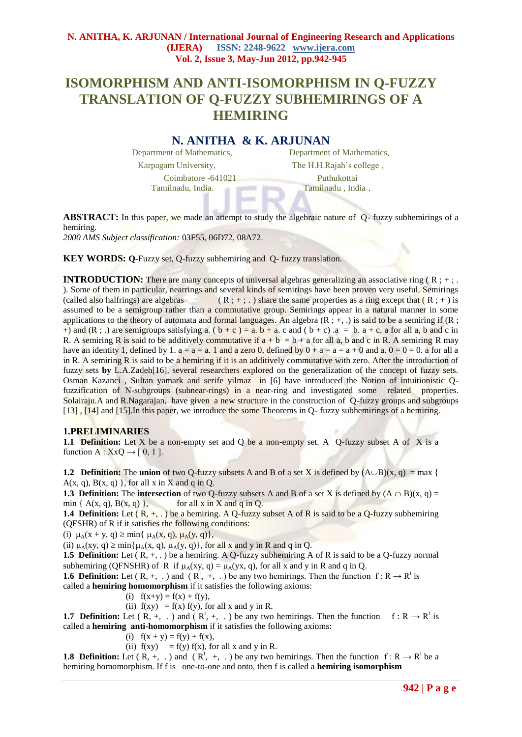# **ISOMORPHISM AND ANTI-ISOMORPHISM IN Q-FUZZY TRANSLATION OF Q-FUZZY SUBHEMIRINGS OF A HEMIRING**

# **N. ANITHA & K. ARJUNAN**

Tamilnadu, India. Tamilnadu , India .

Department of Mathematics, Department of Mathematics, Karpagam University, The H.H.Rajah's college, Coimbatore -641021 Puthukottai

**ABSTRACT:** In this paper, we made an attempt to study the algebraic nature of Q- fuzzy subhemirings of a hemiring.

*2000 AMS Subject classification:* 03F55, 06D72, 08A72.

**KEY WORDS: O-Fuzzy set, O-fuzzy subhemiring and O-fuzzy translation.** 

**INTRODUCTION:** There are many concepts of universal algebras generalizing an associative ring ( $R$ ; +;. ). Some of them in particular, nearrings and several kinds of semirings have been proven very useful. Semirings (called also halfrings) are algebras  $(R; +; \cdot)$  share the same properties as a ring except that  $(R; +)$  is assumed to be a semigroup rather than a commutative group. Semirings appear in a natural manner in some applications to the theory of automata and formal languages. An algebra  $(R; +, \cdot)$  is said to be a semiring if  $(R; +, \cdot)$ +) and (R ; .) are semigroups satisfying a.  $(b + c) = a$ .  $b + a$ . c and  $(b + c)$  .  $a = b$ .  $a + c$ . a for all a, b and c in R. A semiring R is said to be additively commutative if  $a + b = b + a$  for all a, b and c in R. A semiring R may have an identity 1, defined by 1,  $a = a = a$ . 1 and a zero 0, defined by  $0 + a = a = a + 0$  and  $a, 0 = 0 = 0$ , a for all a in R. A semiring R is said to be a hemiring if it is an additively commutative with zero. After the introduction of fuzzy sets **by** L.A.Zadeh[16], several researchers explored on the generalization of the concept of fuzzy sets. Osman Kazanci , Sultan yamark and serife yilmaz in [6] have introduced the Notion of intuitionistic Qfuzzification of N-subgroups (subnear-rings) in a near-ring and investigated some related properties. Solairaju.A and R.Nagarajan, have given a new structure in the construction of Q-fuzzy groups and subgroups [13] , [14] and [15].In this paper, we introduce the some Theorems in Q- fuzzy subhemirings of a hemiring.

#### **1.PRELIMINARIES**

**1.1 Definition:** Let X be a non-empty set and Q be a non-empty set. A Q-fuzzy subset A of X is a function A :  $XxQ \rightarrow [0, 1]$ .

**1.2 Definition:** The **union** of two Q-fuzzy subsets A and B of a set X is defined by  $(A \cup B)(x, q) = max$  {  $A(x, q), B(x, q)$ , for all x in X and q in Q.

**1.3 Definition:** The **intersection** of two Q-fuzzy subsets A and B of a set X is defined by  $(A \cap B)(x, q) =$ min  $\{A(x, q), B(x, q)\}\,$ , for all x in X and q in O.

**1.4 Definition:** Let  $(R, +, \cdot)$  be a hemiring. A Q-fuzzy subset A of R is said to be a Q-fuzzy subhemiring (QFSHR) of R if it satisfies the following conditions:

(i)  $\mu_A(x + y, q) \ge \min\{ \mu_A(x, q), \mu_A(y, q) \},$ 

(ii)  $\mu_A(xy, q) \ge \min\{\mu_A(x, q), \mu_A(y, q)\}\$ , for all x and y in R and q in Q.

**1.5 Definition:** Let  $(R, +, \cdot)$  be a hemiring. A Q-fuzzy subhemiring A of R is said to be a Q-fuzzy normal subhemiring (QFNSHR) of R if  $\mu_A(xy, q) = \mu_A(yx, q)$ , for all x and y in R and q in Q.

**1.6 Definition:** Let  $(R, +, \cdot)$  and  $(R^{\dagger}, +, \cdot)$  be any two hemirings. Then the function  $f: R \to R^{\dagger}$  is called a **hemiring homomorphism** if it satisfies the following axioms:

(i)  $f(x+y) = f(x) + f(y)$ ,

(ii)  $f(xy) = f(x) f(y)$ , for all x and y in R.

**1.7 Definition:** Let  $(R, +, \cdot)$  and  $(R^1, +, \cdot)$  be any two hemirings. Then the function  $f: R \to R^1$  is called a **hemiring anti-homomorphism** if it satisfies the following axioms:

(i)  $f(x + y) = f(y) + f(x)$ ,

(ii)  $f(xy) = f(y) f(x)$ , for all x and y in R.

**1.8 Definition:** Let  $(R, +, \cdot)$  and  $(R^{\dagger}, +, \cdot)$  be any two hemirings. Then the function  $f: R \to R^{\dagger}$  be a hemiring homomorphism. If f is one-to-one and onto, then f is called a **hemiring isomorphism**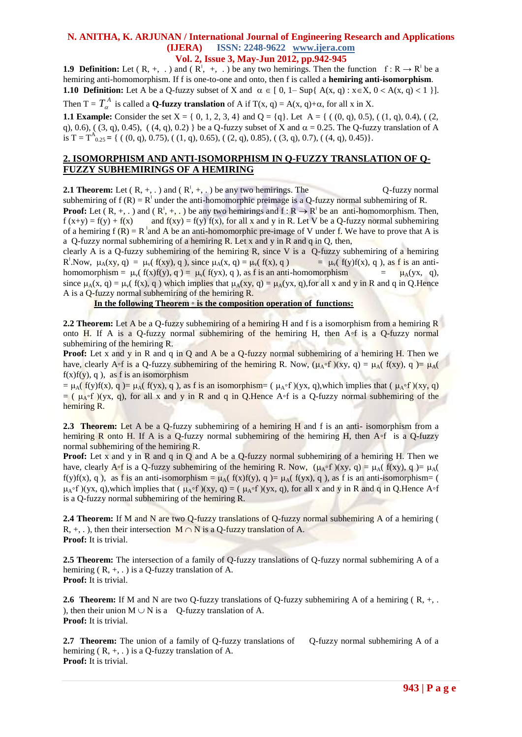#### **N. ANITHA, K. ARJUNAN / International Journal of Engineering Research and Applications (IJERA) ISSN: 2248-9622 www.ijera.com Vol. 2, Issue 3, May-Jun 2012, pp.942-945**

**1.9 Definition:** Let  $(R, +, \cdot)$  and  $(R^{\dagger}, +, \cdot)$  be any two hemirings. Then the function  $f: R \to R^{\dagger}$  be a hemiring anti-homomorphism. If f is one-to-one and onto, then f is called a **hemiring anti-isomorphism**. **1.10 <b>Definition:** Let A be a Q-fuzzy subset of X and  $\alpha \in [0, 1-\text{Sup}\{A(x, q): x \in X, 0 < A(x, q) < 1\}].$ 

Then T =  $T_{\alpha}^A$  is called a **Q-fuzzy translation** of A if T(x, q) = A(x, q)+ $\alpha$ , for all x in X.

**1.1 Example:** Consider the set  $X = \{0, 1, 2, 3, 4\}$  and  $Q = \{q\}$ . Let  $A = \{(0, q), 0.5\}, (1, q), 0.4\}, (2, 1, 2, 3, 4\})$ q), 0.6), ( (3, q), 0.45), ( (4, q), 0.2) } be a Q-fuzzy subset of X and  $\alpha = 0.25$ . The Q-fuzzy translation of A is T =  $T_{0.25}^{\text{A}}$  = { ( (0, q), 0.75), ( (1, q), 0.65), ( (2, q), 0.85), ( (3, q), 0.7), ( (4, q), 0.45)}.

## **2. ISOMORPHISM AND ANTI-ISOMORPHISM IN Q-FUZZY TRANSLATION OF Q-FUZZY SUBHEMIRINGS OF A HEMIRING**

**2.1 Theorem:** Let  $(R, +, \cdot)$  and  $(R^1, +, \cdot)$  be any two hemirings. The Q-fuzzy normal subhemiring of  $f(R) = R<sup>1</sup>$  under the anti-homomorphic preimage is a Q-fuzzy normal subhemiring of R. **Proof:** Let  $(R, +, \cdot)$  and  $(R^{\dagger}, +, \cdot)$  be any two hemirings and  $f: R \to R^{\dagger}$  be an anti-homomorphism. Then,  $f(x+y) = f(y) + f(x)$  and  $f(xy) = f(y) f(x)$ , for all x and y in R. Let V be a Q-fuzzy normal subhemiring of a hemiring  $f(R) = R \text{ and } A$  be an anti-homomorphic pre-image of V under f. We have to prove that A is a Q-fuzzy normal subhemiring of a hemiring R. Let x and y in R and q in Q, then,

clearly A is a Q-fuzzy subhemiring of the hemiring R, since V is a  $Q$ -fuzzy subhemiring of a hemiring R<sup>'</sup>.Now,  $\mu_A(xy, q) = \mu_v(f(xy), q)$ , since  $\mu_A(x, q) = \mu_v(f(x), q)$  =  $\mu_v(f(y)f(x), q)$ , as f is an antihomomorphism =  $\mu_v(f(x)f(y), q) = \mu_v(f(yx), q)$ , as f is an anti-homomorphism =  $\mu_A(yx, q)$ , since  $\mu_A(x, q) = \mu_v(f(x), q)$  which implies that  $\mu_A(xy, q) = \mu_A(yx, q)$ , for all x and y in R and q in Q.Hence A is a Q-fuzzy normal subhemiring of the hemiring R.

#### **In the following Theorem** ◦ **is the composition operation of functions:**

**2.2 Theorem:** Let A be a Q-fuzzy subhemiring of a hemiring H and f is a isomorphism from a hemiring R onto H. If A is a Q-fuzzy normal subhemiring of the hemiring H, then  $A \circ f$  is a Q-fuzzy normal subhemiring of the hemiring R.

**Proof:** Let x and y in R and q in Q and A be a Q-fuzzy normal subhemiring of a hemiring H. Then we have, clearly A∘f is a Q-fuzzy subhemiring of the hemiring R. Now,  $(\mu_A \circ f)(xy, q) = \mu_A(f(xy), q) = \mu_A(f(xy))$  $f(x)f(y), q$ , as f is an isomorphism

 $= \mu_A(f(y)f(x), q) = \mu_A(f(yx), q)$ , as f is an isomorphism= ( $\mu_A \circ f(yx, q)$ ,which implies that ( $\mu_A \circ f(yx, q)$ )  $=$  (  $\mu_A \circ f$  )(yx, q), for all x and y in R and q in Q.Hence A∘f is a Q-fuzzy normal subhemiring of the hemiring R.

2.3 Theorem: Let A be a Q-fuzzy subhemiring of a hemiring H and f is an anti- isomorphism from a hemiring R onto H. If A is a Q-fuzzy normal subhemiring of the hemiring H, then  $A \circ f$  is a Q-fuzzy normal subhemiring of the hemiring R.

**Proof:** Let x and y in R and q in Q and A be a Q-fuzzy normal subhemiring of a hemiring H. Then we have, clearly  $A \circ f$  is a Q-fuzzy subhemiring of the hemiring R. Now,  $(\mu_A \circ f)(xy, q) = \mu_A(f(xy), q) = \mu_A(f(xy))$ f(y)f(x), q), as f is an anti-isomorphism =  $\mu_A(f(x)f(y), q) = \mu_A(f(x), q)$ , as f is an anti-isomorphism= (  $\mu_{\Lambda} \circ f$  )(yx, q),which implies that  $(\mu_{\Lambda} \circ f)(xy, q) = (\mu_{\Lambda} \circ f)(yx, q)$ , for all x and y in R and q in O.Hence A∘f is a Q-fuzzy normal subhemiring of the hemiring R.

**2.4 Theorem:** If M and N are two Q-fuzzy translations of Q-fuzzy normal subhemiring A of a hemiring ( R,  $+,$ .), then their intersection  $M \cap N$  is a Q-fuzzy translation of A. **Proof:** It is trivial.

**2.5 Theorem:** The intersection of a family of Q-fuzzy translations of Q-fuzzy normal subhemiring A of a hemiring  $(R, +, .)$  is a Q-fuzzy translation of A. **Proof:** It is trivial.

**2.6 Theorem:** If M and N are two Q-fuzzy translations of Q-fuzzy subhemiring A of a hemiring (R, +, . ), then their union  $M \cup N$  is a Q-fuzzy translation of A. **Proof:** It is trivial.

**2.7 Theorem:** The union of a family of Q-fuzzy translations of Q-fuzzy normal subhemiring A of a hemiring  $(R, +, \cdot)$  is a O-fuzzy translation of A. **Proof:** It is trivial.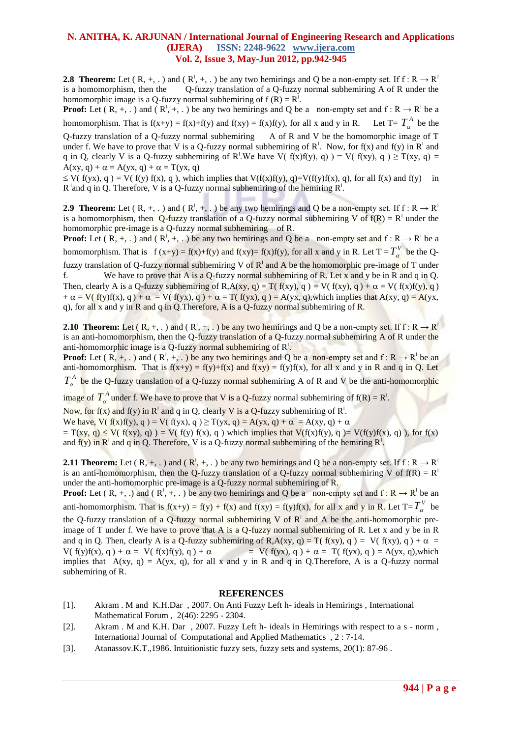## **N. ANITHA, K. ARJUNAN / International Journal of Engineering Research and Applications (IJERA) ISSN: 2248-9622 www.ijera.com Vol. 2, Issue 3, May-Jun 2012, pp.942-945**

**2.8 Theorem:** Let  $(R, +, \cdot)$  and  $(R^{\dagger}, +, \cdot)$  be any two hemirings and Q be a non-empty set. If  $f : R \to R^{\dagger}$ is a homomorphism, then the Q-fuzzy translation of a Q-fuzzy normal subhemiring A of R under the homomorphic image is a Q-fuzzy normal subhemiring of  $f(R) = R^{\frac{1}{2}}$ .

**Proof:** Let  $(R, +, \cdot)$  and  $(R^1, +, \cdot)$  be any two hemirings and Q be a non-empty set and  $f: R \to R^1$  be a homomorphism. That is  $f(x+y) = f(x)+f(y)$  and  $f(xy) = f(x)f(y)$ , for all x and y in R. Let  $T = T_a^A$  be the Q-fuzzy translation of a Q-fuzzy normal subhemiring A of R and V be the homomorphic image of T

under f. We have to prove that V is a Q-fuzzy normal subhemiring of  $R^1$ . Now, for f(x) and f(y) in  $R^1$  and q in Q, clearly V is a Q-fuzzy subhemiring of R<sup>'</sup>.We have V(  $f(x)f(y)$ , q)  $= V(f(xy), q) \geq T(xy, q) =$  $A(xy, q) + \alpha = A(yx, q) + \alpha = T(yx, q)$ 

 $\leq$  V( f(yx), q) = V( f(y) f(x), q), which implies that V(f(x)f(y), q)=V(f(y)f(x), q), for all f(x) and f(y) in  $R$ <sup>'</sup> and q in Q. Therefore, V is a Q-fuzzy normal subhemiring of the hemiring  $R<sup>1</sup>$ .

**2.9 Theorem:** Let  $(R, +, \cdot)$  and  $(R^{\dagger}, +, \cdot)$  be any two hemirings and Q be a non-empty set. If  $f : R \to R^{\dagger}$ is a homomorphism, then Q-fuzzy translation of a Q-fuzzy normal subhemiring V of  $f(R) = R<sup>1</sup>$  under the homomorphic pre-image is a Q-fuzzy normal subhemiring of R.

**Proof:** Let  $(R, +, \cdot)$  and  $(R', +, \cdot)$  be any two hemirings and Q be a non-empty set and  $f: R \to R'$  be a homomorphism. That is  $f(x+y) = f(x)+f(y)$  and  $f(xy)= f(x)f(y)$ , for all x and y in R. Let  $T = T_\alpha^V$  be the Qfuzzy translation of Q-fuzzy normal subhemiring V of R<sup>1</sup> and A be the homomorphic pre-image of T under f. We have to prove that A is a Q-fuzzy normal subhemiring of R. Let x and y be in R and q in Q. Then, clearly A is a Q-fuzzy subhemiring of R,A(xy, q) = T( f(xy), q) = V( f(xy), q) +  $\alpha$  = V( f(x)f(y), q)  $+\alpha = V(f(y)f(x), g) + \alpha = V(f(yx), g) + \alpha = T(f(yx), g) = A(yx, g)$ , which implies that  $A(xy, g) = A(yx, g)$ q), for all x and y in R and q in Q.Therefore, A is a Q-fuzzy normal subhemiring of R.

**2.10 Theorem:** Let  $(R, +, \cdot)$  and  $(R^1, +, \cdot)$  be any two hemirings and Q be a non-empty set. If  $f: R \to R^1$ is an anti-homomorphism, then the Q-fuzzy translation of a Q-fuzzy normal subhemiring A of R under the anti-homomorphic image is a Q-fuzzy normal subhemiring of R<sup>I</sup>.

**Proof:** Let  $(R, +, \cdot)$  and  $(R^{\dagger}, +, \cdot)$  be any two hemirings and Q be a non-empty set and  $f: R \to R^{\dagger}$  be an anti-homomorphism. That is  $f(x+y) = f(y)+f(x)$  and  $f(xy) = f(y)f(x)$ , for all x and y in R and q in Q. Let

 $T_{\alpha}^{A}$  be the Q-fuzzy translation of a Q-fuzzy normal subhemiring A of R and V be the anti-homomorphic

image of  $T_a^A$  under f. We have to prove that V is a Q-fuzzy normal subhemiring of  $f(R) = R<sup>1</sup>$ .

Now, for f(x) and f(y) in  $R^{\dagger}$  and q in Q, clearly V is a Q-fuzzy subhemiring of  $R^{\dagger}$ .

We have, V( f(x)f(y), q) = V( f(yx), q)  $\geq$  T(yx, q) = A(yx, q) +  $\alpha$  = A(xy, q) +  $\alpha$ 

 $= T(xy, q) \le V(f(xy), q) = V(f(y) f(x), q)$  which implies that  $V(f(x)f(y), q) = V(f(y)f(x), q)$ , for  $f(x)$ and f(y) in  $R^1$  and q in Q. Therefore, V is a Q-fuzzy normal subhemiring of the hemiring  $R^1$ .

**2.11 Theorem:** Let  $(R, +, \cdot)$  and  $(R^1, +, \cdot)$  be any two hemirings and Q be a non-empty set. If  $f : R \to R^1$ is an anti-homomorphism, then the Q-fuzzy translation of a Q-fuzzy normal subhemiring V of  $f(R) = R<sup>1</sup>$ under the anti-homomorphic pre-image is a Q-fuzzy normal subhemiring of R.

**Proof:** Let  $(R, +, \cdot)$  and  $(R^{\dagger}, +, \cdot)$  be any two hemirings and Q be a non-empty set and  $f: R \to R^{\dagger}$  be an anti-homomorphism. That is  $f(x+y) = f(y) + f(x)$  and  $f(xy) = f(y)f(x)$ , for all x and y in R. Let  $T = T_{\alpha}^{V}$  be the Q-fuzzy translation of a Q-fuzzy normal subhemiring V of  $R<sup>1</sup>$  and A be the anti-homomorphic preimage of T under f. We have to prove that A is a Q-fuzzy normal subhemiring of R. Let x and y be in R and q in Q. Then, clearly A is a Q-fuzzy subhemiring of R,A(xy, q) = T( f(xy), q) = V( f(xy), q) +  $\alpha$  =  $V(f(y)f(x), q) + \alpha = V(f(x)f(y), q) + \alpha$  =  $V(f(yx), q) + \alpha = T(f(yx), q) = A(yx, q)$ , which implies that  $A(xy, q) = A(yx, q)$ , for all x and y in R and q in Q.Therefore, A is a Q-fuzzy normal subhemiring of R.

#### **REFERENCES**

- [1]. Akram . M and K.H.Dar , 2007. On Anti Fuzzy Left h- ideals in Hemirings , International Mathematical Forum , 2(46): 2295 - 2304.
- [2]. Akram . M and K.H. Dar , 2007. Fuzzy Left h- ideals in Hemirings with respect to a s norm , International Journal of Computational and Applied Mathematics , 2 : 7-14.
- [3]. Atanassov.K.T.,1986. Intuitionistic fuzzy sets, fuzzy sets and systems, 20(1): 87-96 .